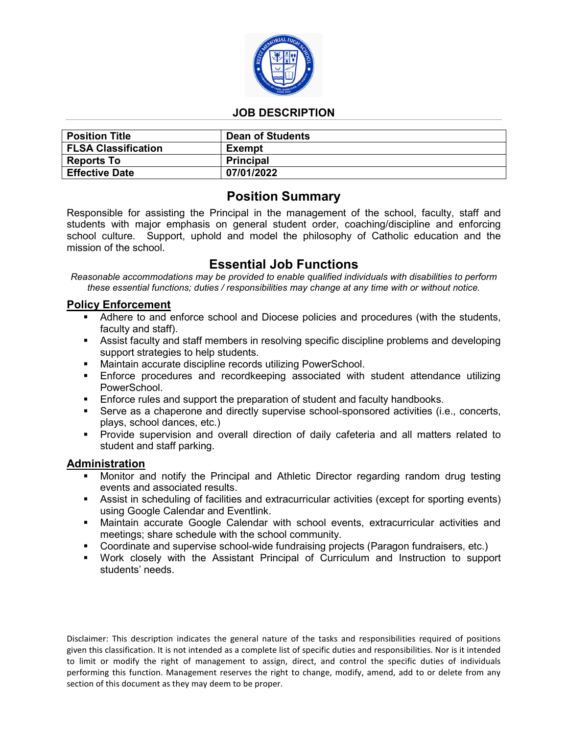

## **JOB DESCRIPTION**

| <b>Position Title</b>      | <b>Dean of Students</b> |
|----------------------------|-------------------------|
| <b>FLSA Classification</b> | Exempt                  |
| <b>Reports To</b>          | <b>Principal</b>        |
| <b>Effective Date</b>      | 07/01/2022              |

# **Position Summary**

Responsible for assisting the Principal in the management of the school, faculty, staff and students with major emphasis on general student order, coaching/discipline and enforcing school culture. Support, uphold and model the philosophy of Catholic education and the mission of the school.

# **Essential Job Functions**

*Reasonable accommodations may be provided to enable qualified individuals with disabilities to perform these essential functions; duties / responsibilities may change at any time with or without notice.* 

#### **Policy Enforcement**

- Adhere to and enforce school and Diocese policies and procedures (with the students, faculty and staff).
- Assist faculty and staff members in resolving specific discipline problems and developing support strategies to help students.
- Maintain accurate discipline records utilizing PowerSchool.
- Enforce procedures and recordkeeping associated with student attendance utilizing PowerSchool.
- **Enforce rules and support the preparation of student and faculty handbooks.**
- Serve as a chaperone and directly supervise school-sponsored activities (i.e., concerts, plays, school dances, etc.)
- **Provide supervision and overall direction of daily cafeteria and all matters related to** student and staff parking.

#### **Administration**

- Monitor and notify the Principal and Athletic Director regarding random drug testing events and associated results.
- Assist in scheduling of facilities and extracurricular activities (except for sporting events) using Google Calendar and Eventlink.
- Maintain accurate Google Calendar with school events, extracurricular activities and meetings; share schedule with the school community.
- Coordinate and supervise school-wide fundraising projects (Paragon fundraisers, etc.)
- Work closely with the Assistant Principal of Curriculum and Instruction to support students' needs.

Disclaimer: This description indicates the general nature of the tasks and responsibilities required of positions given this classification. It is not intended as a complete list of specific duties and responsibilities. Nor is it intended to limit or modify the right of management to assign, direct, and control the specific duties of individuals performing this function. Management reserves the right to change, modify, amend, add to or delete from any section of this document as they may deem to be proper.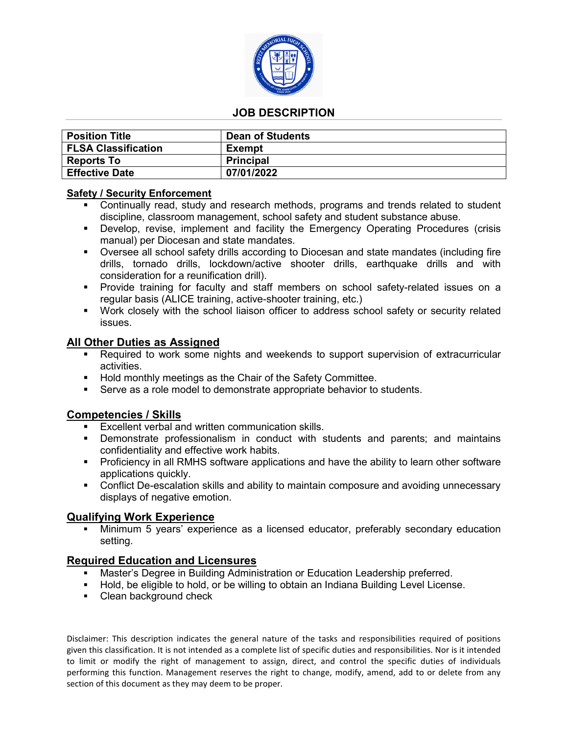

## **JOB DESCRIPTION**

| <b>Position Title</b>      | <b>Dean of Students</b> |
|----------------------------|-------------------------|
| <b>FLSA Classification</b> | Exempt                  |
| <b>Reports To</b>          | <b>Principal</b>        |
| <b>Effective Date</b>      | 07/01/2022              |

#### **Safety / Security Enforcement**

- Continually read, study and research methods, programs and trends related to student discipline, classroom management, school safety and student substance abuse.
- Develop, revise, implement and facility the Emergency Operating Procedures (crisis manual) per Diocesan and state mandates.
- Oversee all school safety drills according to Diocesan and state mandates (including fire drills, tornado drills, lockdown/active shooter drills, earthquake drills and with consideration for a reunification drill).
- Provide training for faculty and staff members on school safety-related issues on a regular basis (ALICE training, active-shooter training, etc.)
- Work closely with the school liaison officer to address school safety or security related issues.

#### **All Other Duties as Assigned**

- Required to work some nights and weekends to support supervision of extracurricular activities.
- **Hold monthly meetings as the Chair of the Safety Committee.**
- Serve as a role model to demonstrate appropriate behavior to students.

#### **Competencies / Skills**

- Excellent verbal and written communication skills.
- Demonstrate professionalism in conduct with students and parents; and maintains confidentiality and effective work habits.
- Proficiency in all RMHS software applications and have the ability to learn other software applications quickly.
- **•** Conflict De-escalation skills and ability to maintain composure and avoiding unnecessary displays of negative emotion.

#### **Qualifying Work Experience**

 Minimum 5 years' experience as a licensed educator, preferably secondary education setting.

#### **Required Education and Licensures**

- Master's Degree in Building Administration or Education Leadership preferred.
- Hold, be eligible to hold, or be willing to obtain an Indiana Building Level License.
- Clean background check

Disclaimer: This description indicates the general nature of the tasks and responsibilities required of positions given this classification. It is not intended as a complete list of specific duties and responsibilities. Nor is it intended to limit or modify the right of management to assign, direct, and control the specific duties of individuals performing this function. Management reserves the right to change, modify, amend, add to or delete from any section of this document as they may deem to be proper.